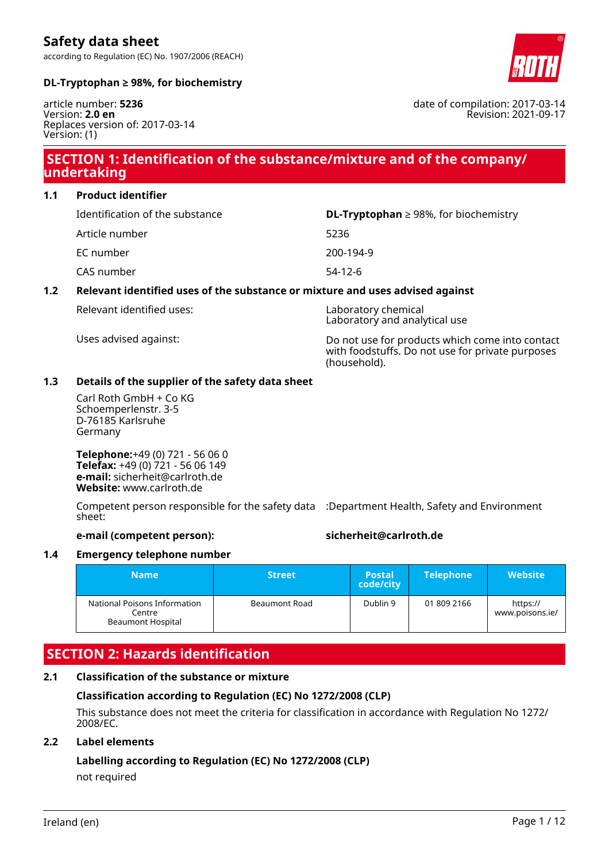according to Regulation (EC) No. 1907/2006 (REACH)

# **DL-Tryptophan ≥ 98%, for biochemistry**

article number: **5236** Version: **2.0 en** Replaces version of: 2017-03-14 Version: (1)

# **SECTION 1: Identification of the substance/mixture and of the company/ undertaking**

**1.1 Product identifier**

| Identification of the substance | <b>DL-Tryptophan</b> $\geq$ 98%, for biochemistry |
|---------------------------------|---------------------------------------------------|
| Article number                  | 5236                                              |
| EC number                       | 200-194-9                                         |
| CAS number                      | $54-12-6$                                         |
|                                 |                                                   |

# **1.2 Relevant identified uses of the substance or mixture and uses advised against**

Relevant identified uses: Laboratory chemical

Laboratory and analytical use

Uses advised against: Do not use for products which come into contact with foodstuffs. Do not use for private purposes (household).

# **1.3 Details of the supplier of the safety data sheet**

Carl Roth GmbH + Co KG Schoemperlenstr. 3-5 D-76185 Karlsruhe Germany

**Telephone:**+49 (0) 721 - 56 06 0 **Telefax:** +49 (0) 721 - 56 06 149 **e-mail:** sicherheit@carlroth.de **Website:** www.carlroth.de

Competent person responsible for the safety data :Department Health, Safety and Environment sheet:

#### **e-mail (competent person): sicherheit@carlroth.de**

# **1.4 Emergency telephone number**

| <b>Name</b>                                                        | <b>Street</b>        | <b>Postal</b><br>code/city | <b>Telephone</b> | <b>Website</b>              |
|--------------------------------------------------------------------|----------------------|----------------------------|------------------|-----------------------------|
| National Poisons Information<br>Centre<br><b>Beaumont Hospital</b> | <b>Beaumont Road</b> | Dublin 9                   | 01 809 2166      | https://<br>www.poisons.ie/ |

# **SECTION 2: Hazards identification**

# **2.1 Classification of the substance or mixture**

# **Classification according to Regulation (EC) No 1272/2008 (CLP)**

This substance does not meet the criteria for classification in accordance with Regulation No 1272/ 2008/EC.

# **2.2 Label elements**

# **Labelling according to Regulation (EC) No 1272/2008 (CLP)**

not required



date of compilation: 2017-03-14

Revision: 2021-09-17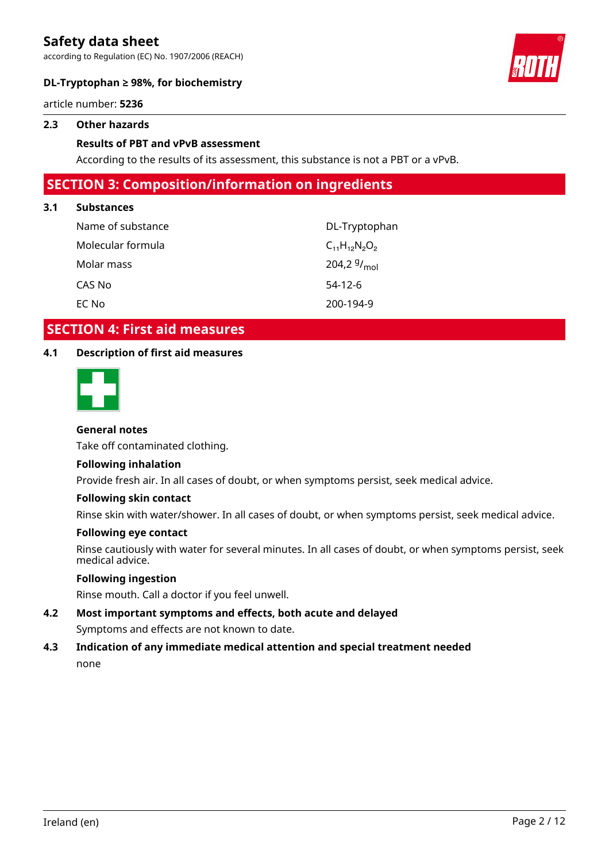according to Regulation (EC) No. 1907/2006 (REACH)



# **DL-Tryptophan ≥ 98%, for biochemistry**

article number: **5236**

#### **2.3 Other hazards**

#### **Results of PBT and vPvB assessment**

According to the results of its assessment, this substance is not a PBT or a vPvB.

# **SECTION 3: Composition/information on ingredients**

#### **3.1 Substances**

| Name of substance | DL-Tryptophan        |
|-------------------|----------------------|
| Molecular formula | $C_{11}H_{12}N_2O_2$ |
| Molar mass        | 204,2 $9/_{mol}$     |
| CAS No            | $54-12-6$            |
| EC No             | 200-194-9            |

# **SECTION 4: First aid measures**

# **4.1 Description of first aid measures**



### **General notes**

Take off contaminated clothing.

#### **Following inhalation**

Provide fresh air. In all cases of doubt, or when symptoms persist, seek medical advice.

#### **Following skin contact**

Rinse skin with water/shower. In all cases of doubt, or when symptoms persist, seek medical advice.

#### **Following eye contact**

Rinse cautiously with water for several minutes. In all cases of doubt, or when symptoms persist, seek medical advice.

# **Following ingestion**

Rinse mouth. Call a doctor if you feel unwell.

**4.2 Most important symptoms and effects, both acute and delayed** Symptoms and effects are not known to date.

# **4.3 Indication of any immediate medical attention and special treatment needed** none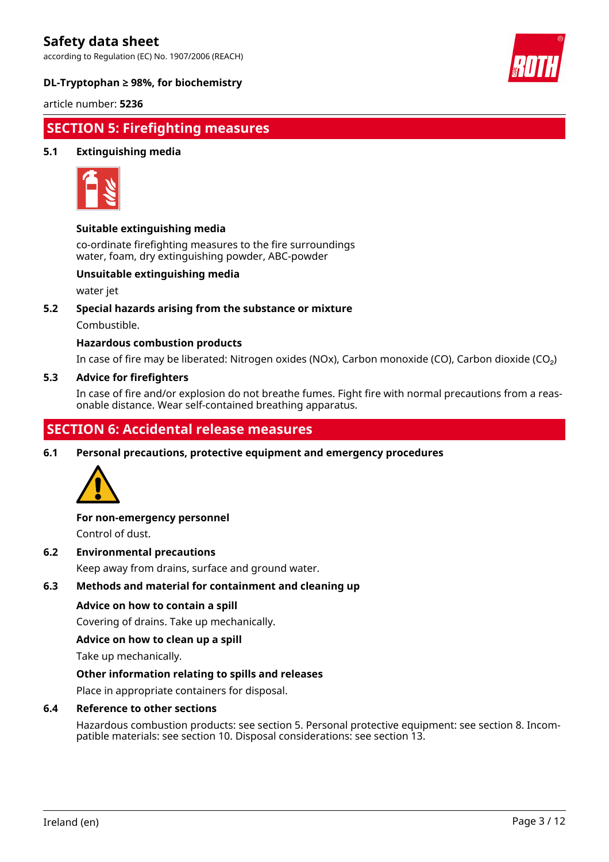according to Regulation (EC) No. 1907/2006 (REACH)



# **DL-Tryptophan ≥ 98%, for biochemistry**

article number: **5236**

# **SECTION 5: Firefighting measures**

# **5.1 Extinguishing media**



### **Suitable extinguishing media**

co-ordinate firefighting measures to the fire surroundings water, foam, dry extinguishing powder, ABC-powder

#### **Unsuitable extinguishing media**

water jet

#### **5.2 Special hazards arising from the substance or mixture**

Combustible.

#### **Hazardous combustion products**

In case of fire may be liberated: Nitrogen oxides (NOx), Carbon monoxide (CO), Carbon dioxide (CO₂)

#### **5.3 Advice for firefighters**

In case of fire and/or explosion do not breathe fumes. Fight fire with normal precautions from a reasonable distance. Wear self-contained breathing apparatus.

# **SECTION 6: Accidental release measures**

**6.1 Personal precautions, protective equipment and emergency procedures**



#### **For non-emergency personnel**

Control of dust.

#### **6.2 Environmental precautions**

Keep away from drains, surface and ground water.

#### **6.3 Methods and material for containment and cleaning up**

#### **Advice on how to contain a spill**

Covering of drains. Take up mechanically.

#### **Advice on how to clean up a spill**

Take up mechanically.

#### **Other information relating to spills and releases**

Place in appropriate containers for disposal.

#### **6.4 Reference to other sections**

Hazardous combustion products: see section 5. Personal protective equipment: see section 8. Incompatible materials: see section 10. Disposal considerations: see section 13.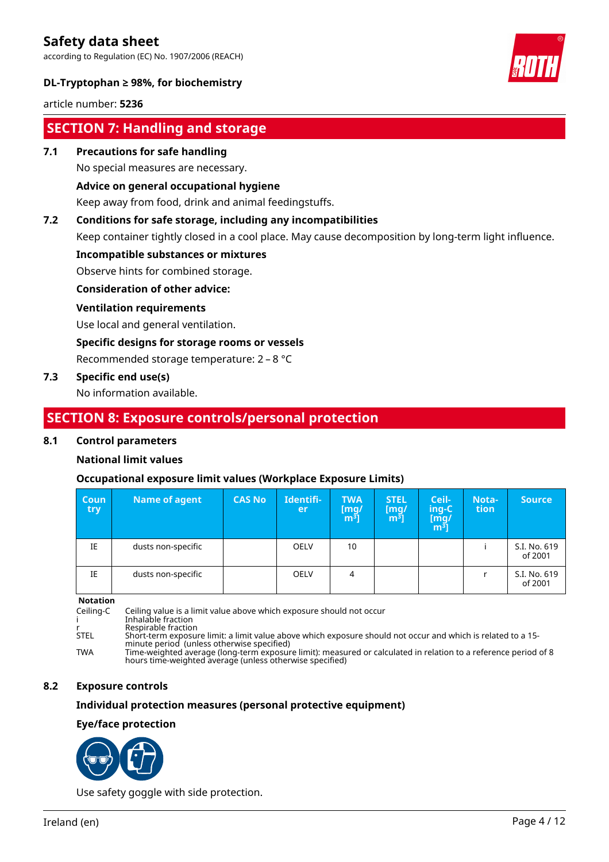according to Regulation (EC) No. 1907/2006 (REACH)



# **DL-Tryptophan ≥ 98%, for biochemistry**

article number: **5236**

# **SECTION 7: Handling and storage**

#### **7.1 Precautions for safe handling**

No special measures are necessary.

### **Advice on general occupational hygiene**

Keep away from food, drink and animal feedingstuffs.

# **7.2 Conditions for safe storage, including any incompatibilities**

Keep container tightly closed in a cool place. May cause decomposition by long-term light influence.

#### **Incompatible substances or mixtures**

Observe hints for combined storage.

#### **Consideration of other advice:**

#### **Ventilation requirements**

Use local and general ventilation.

#### **Specific designs for storage rooms or vessels**

Recommended storage temperature: 2 – 8 °C

### **7.3 Specific end use(s)**

No information available.

# **SECTION 8: Exposure controls/personal protection**

#### **8.1 Control parameters**

# **National limit values**

# **Occupational exposure limit values (Workplace Exposure Limits)**

| Coun<br>try | Name of agent      | <b>CAS No</b> | Identifi-<br>er | <b>TWA</b><br>$\begin{bmatrix} \text{mg/} \\ \text{m}^3 \end{bmatrix}$ | <b>STEL</b><br>[mq/<br>m <sup>3</sup> | Ceil-<br>ing-C<br>$\begin{bmatrix} \bar{\text{mg}}/ \ \text{m}^3 \end{bmatrix}$ | Nota-<br><b>tion</b> | <b>Source</b>           |
|-------------|--------------------|---------------|-----------------|------------------------------------------------------------------------|---------------------------------------|---------------------------------------------------------------------------------|----------------------|-------------------------|
| IE          | dusts non-specific |               | <b>OELV</b>     | 10                                                                     |                                       |                                                                                 |                      | S.I. No. 619<br>of 2001 |
| IE          | dusts non-specific |               | <b>OELV</b>     | 4                                                                      |                                       |                                                                                 |                      | S.I. No. 619<br>of 2001 |

**Notation**

Ceiling-C Ceiling value is a limit value above which exposure should not occur

i Inhalable fraction

r Respirable fraction<br>STEL Short-term exposure Resphasic maction<br>Short-term exposure limit: a limit value above which exposure should not occur and which is related to a 15-

minute period (unless otherwise specified) TWA Time-weighted average (long-term exposure limit): measured or calculated in relation to a reference period of 8

hours time-weighted average (unless otherwise specified)

### **8.2 Exposure controls**

### **Individual protection measures (personal protective equipment)**

#### **Eye/face protection**



Use safety goggle with side protection.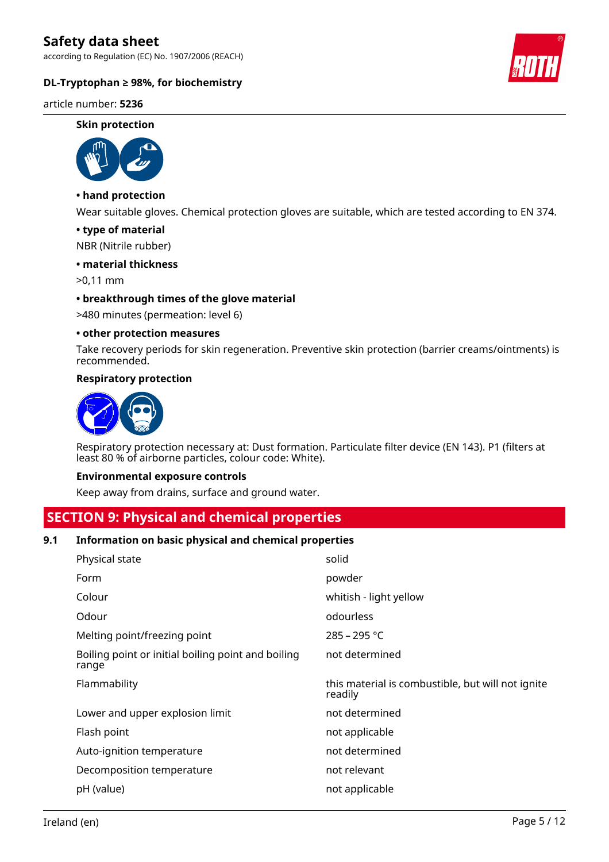according to Regulation (EC) No. 1907/2006 (REACH)



#### article number: **5236**

#### **Skin protection**



# **• hand protection**

Wear suitable gloves. Chemical protection gloves are suitable, which are tested according to EN 374.

#### **• type of material**

NBR (Nitrile rubber)

#### **• material thickness**

>0,11 mm

#### **• breakthrough times of the glove material**

>480 minutes (permeation: level 6)

#### **• other protection measures**

Take recovery periods for skin regeneration. Preventive skin protection (barrier creams/ointments) is recommended.

#### **Respiratory protection**



Respiratory protection necessary at: Dust formation. Particulate filter device (EN 143). P1 (filters at least 80 % of airborne particles, colour code: White).

#### **Environmental exposure controls**

Keep away from drains, surface and ground water.

# **SECTION 9: Physical and chemical properties**

#### **9.1 Information on basic physical and chemical properties**

| Physical state                                              | solid                                                        |
|-------------------------------------------------------------|--------------------------------------------------------------|
| Form                                                        | powder                                                       |
| Colour                                                      | whitish - light yellow                                       |
| Odour                                                       | odourless                                                    |
| Melting point/freezing point                                | 285 - 295 °C                                                 |
| Boiling point or initial boiling point and boiling<br>range | not determined                                               |
| Flammability                                                | this material is combustible, but will not ignite<br>readily |
| Lower and upper explosion limit                             | not determined                                               |
| Flash point                                                 | not applicable                                               |
| Auto-ignition temperature                                   | not determined                                               |
| Decomposition temperature                                   | not relevant                                                 |
| pH (value)                                                  | not applicable                                               |

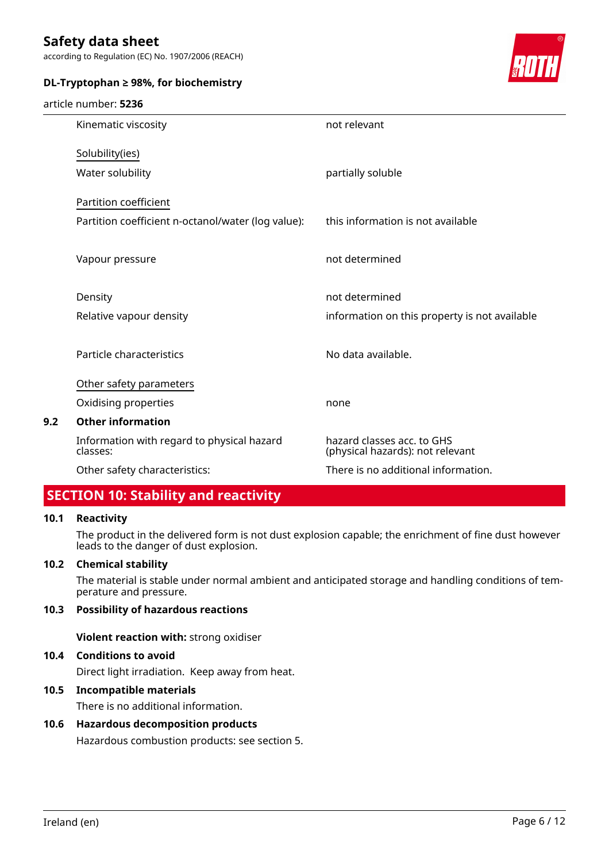according to Regulation (EC) No. 1907/2006 (REACH)

# **DL-Tryptophan ≥ 98%, for biochemistry**

#### article number: **5236**



|     | Kinematic viscosity                                    | not relevant                                                   |
|-----|--------------------------------------------------------|----------------------------------------------------------------|
|     | Solubility(ies)                                        |                                                                |
|     | Water solubility                                       | partially soluble                                              |
|     | Partition coefficient                                  |                                                                |
|     | Partition coefficient n-octanol/water (log value):     | this information is not available                              |
|     | Vapour pressure                                        | not determined                                                 |
|     | Density                                                | not determined                                                 |
|     | Relative vapour density                                | information on this property is not available                  |
|     | Particle characteristics                               | No data available.                                             |
|     | Other safety parameters                                |                                                                |
|     | Oxidising properties                                   | none                                                           |
| 9.2 | <b>Other information</b>                               |                                                                |
|     | Information with regard to physical hazard<br>classes: | hazard classes acc. to GHS<br>(physical hazards): not relevant |
|     | Other safety characteristics:                          | There is no additional information.                            |
|     |                                                        |                                                                |

# **SECTION 10: Stability and reactivity**

### **10.1 Reactivity**

The product in the delivered form is not dust explosion capable; the enrichment of fine dust however leads to the danger of dust explosion.

#### **10.2 Chemical stability**

The material is stable under normal ambient and anticipated storage and handling conditions of temperature and pressure.

### **10.3 Possibility of hazardous reactions**

**Violent reaction with:** strong oxidiser

# **10.4 Conditions to avoid**

Direct light irradiation. Keep away from heat.

### **10.5 Incompatible materials**

There is no additional information.

# **10.6 Hazardous decomposition products**

Hazardous combustion products: see section 5.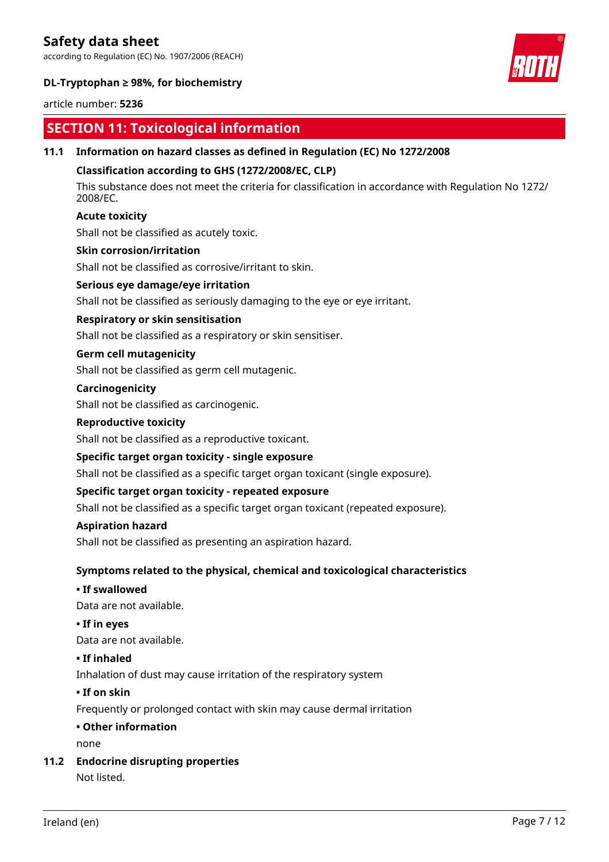according to Regulation (EC) No. 1907/2006 (REACH)



# **DL-Tryptophan ≥ 98%, for biochemistry**

#### article number: **5236**

# **SECTION 11: Toxicological information**

### **11.1 Information on hazard classes as defined in Regulation (EC) No 1272/2008**

### **Classification according to GHS (1272/2008/EC, CLP)**

This substance does not meet the criteria for classification in accordance with Regulation No 1272/ 2008/EC.

#### **Acute toxicity**

Shall not be classified as acutely toxic.

#### **Skin corrosion/irritation**

Shall not be classified as corrosive/irritant to skin.

#### **Serious eye damage/eye irritation**

Shall not be classified as seriously damaging to the eye or eye irritant.

### **Respiratory or skin sensitisation**

Shall not be classified as a respiratory or skin sensitiser.

# **Germ cell mutagenicity**

Shall not be classified as germ cell mutagenic.

#### **Carcinogenicity**

Shall not be classified as carcinogenic.

#### **Reproductive toxicity**

Shall not be classified as a reproductive toxicant.

#### **Specific target organ toxicity - single exposure**

Shall not be classified as a specific target organ toxicant (single exposure).

#### **Specific target organ toxicity - repeated exposure**

Shall not be classified as a specific target organ toxicant (repeated exposure).

#### **Aspiration hazard**

Shall not be classified as presenting an aspiration hazard.

# **Symptoms related to the physical, chemical and toxicological characteristics**

#### **• If swallowed**

Data are not available.

### **• If in eyes**

Data are not available.

#### **• If inhaled**

Inhalation of dust may cause irritation of the respiratory system

#### **• If on skin**

Frequently or prolonged contact with skin may cause dermal irritation

#### **• Other information**

none

#### **11.2 Endocrine disrupting properties**

Not listed.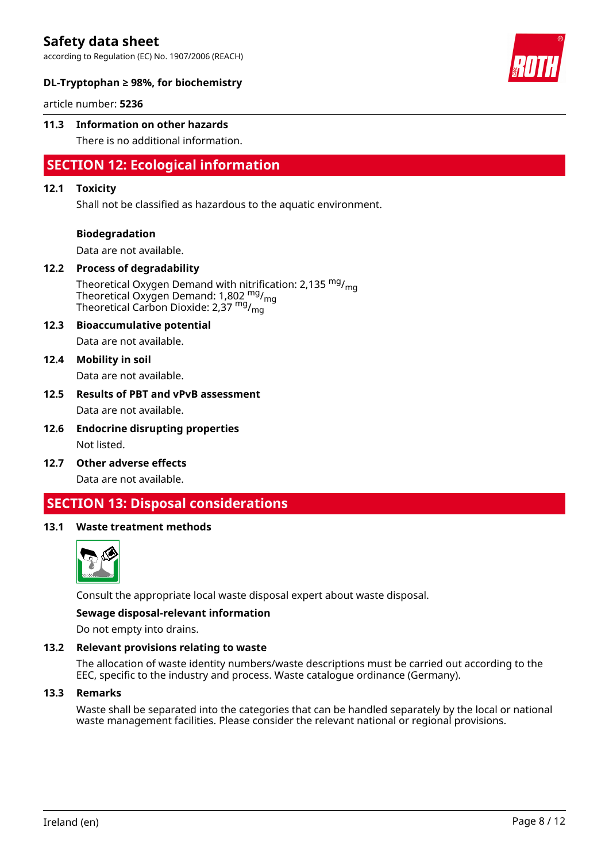according to Regulation (EC) No. 1907/2006 (REACH)



### **DL-Tryptophan ≥ 98%, for biochemistry**

article number: **5236**

#### **11.3 Information on other hazards**

There is no additional information.

# **SECTION 12: Ecological information**

#### **12.1 Toxicity**

Shall not be classified as hazardous to the aquatic environment.

#### **Biodegradation**

Data are not available.

#### **12.2 Process of degradability**

Theoretical Oxygen Demand with nitrification: 2,135  $mg/m<sub>q</sub>$ Theoretical Oxygen Demand: 1,802 <sup>mg</sup>/<sub>mg</sub> Theoretical Carbon Dioxide: 2,37 mg/mg

# **12.3 Bioaccumulative potential**

Data are not available.

# **12.4 Mobility in soil**

Data are not available.

#### **12.5 Results of PBT and vPvB assessment**

Data are not available.

- **12.6 Endocrine disrupting properties** Not listed.
- **12.7 Other adverse effects**

Data are not available.

# **SECTION 13: Disposal considerations**

#### **13.1 Waste treatment methods**



Consult the appropriate local waste disposal expert about waste disposal.

#### **Sewage disposal-relevant information**

Do not empty into drains.

#### **13.2 Relevant provisions relating to waste**

The allocation of waste identity numbers/waste descriptions must be carried out according to the EEC, specific to the industry and process. Waste catalogue ordinance (Germany).

#### **13.3 Remarks**

Waste shall be separated into the categories that can be handled separately by the local or national waste management facilities. Please consider the relevant national or regional provisions.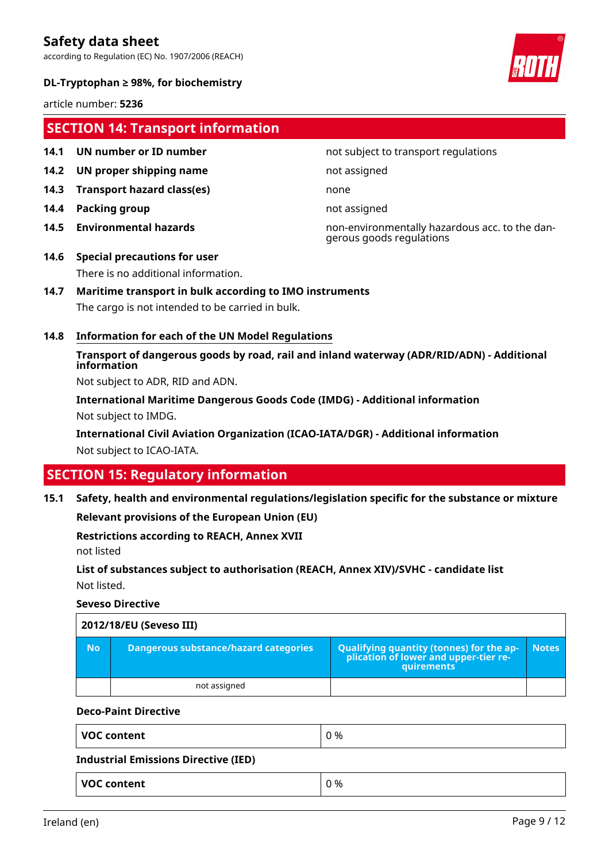according to Regulation (EC) No. 1907/2006 (REACH)



### **DL-Tryptophan ≥ 98%, for biochemistry**

article number: **5236**

# **SECTION 14: Transport information**

- 
- **14.2 UN proper shipping name** not assigned
- **14.3 Transport hazard class(es)** none
- **14.4 Packing group not assigned**
- 

#### **14.1 UN number or ID number not subject to transport regulations**

**14.5 Environmental hazards** non-environmentally hazardous acc. to the dangerous goods regulations

# **14.6 Special precautions for user** There is no additional information.

# **14.7 Maritime transport in bulk according to IMO instruments**

The cargo is not intended to be carried in bulk.

### **14.8 Information for each of the UN Model Regulations**

**Transport of dangerous goods by road, rail and inland waterway (ADR/RID/ADN) - Additional information**

Not subject to ADR, RID and ADN.

**International Maritime Dangerous Goods Code (IMDG) - Additional information** Not subject to IMDG.

**International Civil Aviation Organization (ICAO-IATA/DGR) - Additional information** Not subject to ICAO-IATA.

# **SECTION 15: Regulatory information**

**15.1 Safety, health and environmental regulations/legislation specific for the substance or mixture**

**Relevant provisions of the European Union (EU)**

# **Restrictions according to REACH, Annex XVII**

not listed

**List of substances subject to authorisation (REACH, Annex XIV)/SVHC - candidate list** Not listed.

#### **Seveso Directive**

|     | 2012/18/EU (Seveso III)               |                                                                                                   |              |  |
|-----|---------------------------------------|---------------------------------------------------------------------------------------------------|--------------|--|
| No. | Dangerous substance/hazard categories | Qualifying quantity (tonnes) for the application of lower and upper-tier re-<br><b>auirements</b> | <b>Notes</b> |  |
|     | not assigned                          |                                                                                                   |              |  |

#### **Deco-Paint Directive**

| <b>VOC content</b>                          | 0 % |
|---------------------------------------------|-----|
| <b>Industrial Emissions Directive (IED)</b> |     |
| <b>VOC content</b>                          | 0 % |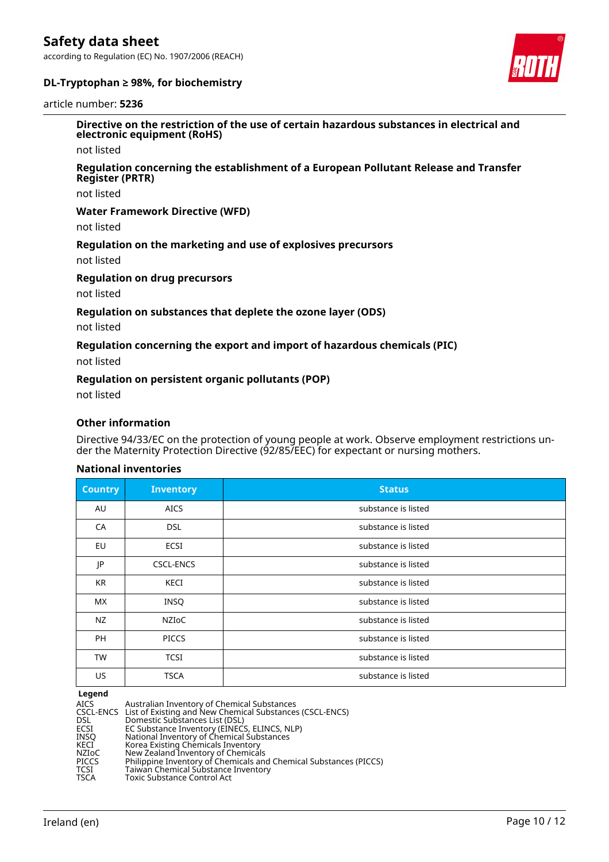according to Regulation (EC) No. 1907/2006 (REACH)





#### article number: **5236**

**Directive on the restriction of the use of certain hazardous substances in electrical and electronic equipment (RoHS)**

not listed

#### **Regulation concerning the establishment of a European Pollutant Release and Transfer Register (PRTR)**

not listed

#### **Water Framework Directive (WFD)**

not listed

#### **Regulation on the marketing and use of explosives precursors**

not listed

#### **Regulation on drug precursors**

not listed

#### **Regulation on substances that deplete the ozone layer (ODS)**

not listed

#### **Regulation concerning the export and import of hazardous chemicals (PIC)**

not listed

#### **Regulation on persistent organic pollutants (POP)**

not listed

#### **Other information**

Directive 94/33/EC on the protection of young people at work. Observe employment restrictions under the Maternity Protection Directive (92/85/EEC) for expectant or nursing mothers.

#### **National inventories**

| <b>Country</b> | <b>Inventory</b> | <b>Status</b>       |
|----------------|------------------|---------------------|
| AU             | <b>AICS</b>      | substance is listed |
| CA             | <b>DSL</b>       | substance is listed |
| EU             | ECSI             | substance is listed |
| JP             | <b>CSCL-ENCS</b> | substance is listed |
| <b>KR</b>      | <b>KECI</b>      | substance is listed |
| <b>MX</b>      | <b>INSQ</b>      | substance is listed |
| NZ             | NZIOC            | substance is listed |
| PH             | <b>PICCS</b>     | substance is listed |
| <b>TW</b>      | <b>TCSI</b>      | substance is listed |
| US             | <b>TSCA</b>      | substance is listed |

**Legend**

| AICS  | Australian Inventory of Chemical Substances                        |
|-------|--------------------------------------------------------------------|
|       | CSCL-ENCS List of Existing and New Chemical Substances (CSCL-ENCS) |
| DSL   | Domestic Substances List (DSL)                                     |
| ECSI  | EC Substance Inventory (EINECS, ELINCS, NLP)                       |
| INSO  | National Inventory of Chemical Substances                          |
| KECI  | Korea Existing Chemicals Inventory                                 |
| NZIoC | New Zealand Inventory of Chemicals                                 |
| PICCS | Philippine Inventory of Chemicals and Chemical Substances (PICCS)  |
| TCSI  | Taiwan Chemical Substance Inventory                                |
| TSCA  | <b>Toxic Substance Control Act</b>                                 |
|       |                                                                    |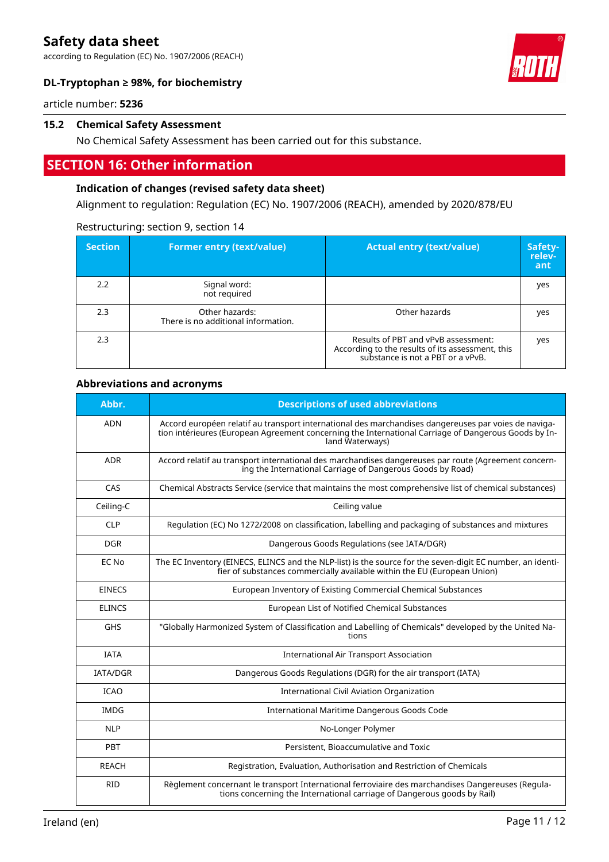according to Regulation (EC) No. 1907/2006 (REACH)



# **DL-Tryptophan ≥ 98%, for biochemistry**

article number: **5236**

#### **15.2 Chemical Safety Assessment**

No Chemical Safety Assessment has been carried out for this substance.

# **SECTION 16: Other information**

### **Indication of changes (revised safety data sheet)**

Alignment to regulation: Regulation (EC) No. 1907/2006 (REACH), amended by 2020/878/EU

| <b>Section</b> | <b>Former entry (text/value)</b>                      | <b>Actual entry (text/value)</b>                                                                                             | Safety-<br>relev-<br>ant |
|----------------|-------------------------------------------------------|------------------------------------------------------------------------------------------------------------------------------|--------------------------|
| 2.2            | Signal word:<br>not required                          |                                                                                                                              | yes                      |
| 2.3            | Other hazards:<br>There is no additional information. | Other hazards                                                                                                                | yes                      |
| 2.3            |                                                       | Results of PBT and vPvB assessment:<br>According to the results of its assessment, this<br>substance is not a PBT or a vPvB. | yes                      |

### Restructuring: section 9, section 14

#### **Abbreviations and acronyms**

| Abbr.           | <b>Descriptions of used abbreviations</b>                                                                                                                                                                                       |
|-----------------|---------------------------------------------------------------------------------------------------------------------------------------------------------------------------------------------------------------------------------|
| <b>ADN</b>      | Accord européen relatif au transport international des marchandises dangereuses par voies de naviga-<br>tion intérieures (European Agreement concerning the International Carriage of Dangerous Goods by In-<br>land Waterways) |
| <b>ADR</b>      | Accord relatif au transport international des marchandises dangereuses par route (Agreement concern-<br>ing the International Carriage of Dangerous Goods by Road)                                                              |
| CAS             | Chemical Abstracts Service (service that maintains the most comprehensive list of chemical substances)                                                                                                                          |
| Ceiling-C       | Ceiling value                                                                                                                                                                                                                   |
| <b>CLP</b>      | Regulation (EC) No 1272/2008 on classification, labelling and packaging of substances and mixtures                                                                                                                              |
| <b>DGR</b>      | Dangerous Goods Regulations (see IATA/DGR)                                                                                                                                                                                      |
| EC No           | The EC Inventory (EINECS, ELINCS and the NLP-list) is the source for the seven-digit EC number, an identi-<br>fier of substances commercially available within the EU (European Union)                                          |
| <b>EINECS</b>   | European Inventory of Existing Commercial Chemical Substances                                                                                                                                                                   |
| <b>ELINCS</b>   | European List of Notified Chemical Substances                                                                                                                                                                                   |
| <b>GHS</b>      | "Globally Harmonized System of Classification and Labelling of Chemicals" developed by the United Na-<br>tions                                                                                                                  |
| <b>IATA</b>     | <b>International Air Transport Association</b>                                                                                                                                                                                  |
| <b>IATA/DGR</b> | Dangerous Goods Regulations (DGR) for the air transport (IATA)                                                                                                                                                                  |
| <b>ICAO</b>     | <b>International Civil Aviation Organization</b>                                                                                                                                                                                |
| <b>IMDG</b>     | International Maritime Dangerous Goods Code                                                                                                                                                                                     |
| <b>NLP</b>      | No-Longer Polymer                                                                                                                                                                                                               |
| PBT             | Persistent, Bioaccumulative and Toxic                                                                                                                                                                                           |
| <b>REACH</b>    | Registration, Evaluation, Authorisation and Restriction of Chemicals                                                                                                                                                            |
| <b>RID</b>      | Règlement concernant le transport International ferroviaire des marchandises Dangereuses (Regula-<br>tions concerning the International carriage of Dangerous goods by Rail)                                                    |